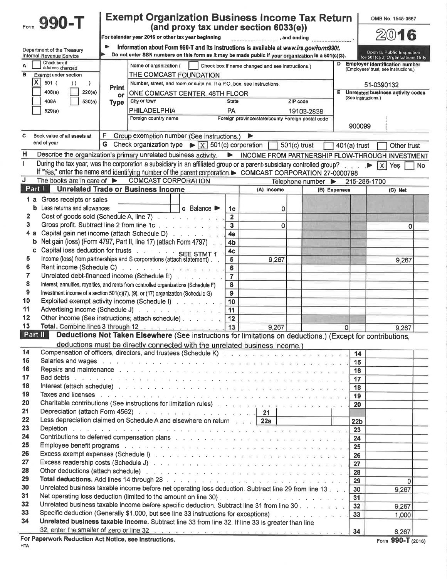|               | 990-T                                          |             | <b>Exempt Organization Business Income Tax Return</b>                                                                                                                                                                              |                                  |                                                   |                                                |                       | OMB No. 1545-0687                                                              |
|---------------|------------------------------------------------|-------------|------------------------------------------------------------------------------------------------------------------------------------------------------------------------------------------------------------------------------------|----------------------------------|---------------------------------------------------|------------------------------------------------|-----------------------|--------------------------------------------------------------------------------|
|               |                                                |             | (and proxy tax under section 6033(e))<br>For calendar year 2016 or other tax year beginning                                                                                                                                        |                                  |                                                   | $\blacksquare$ , and ending                    |                       | 2016                                                                           |
|               | Department of the Treasury                     |             | Information about Form 990-T and its instructions is available at www.irs.gov/form990t.                                                                                                                                            |                                  |                                                   |                                                |                       |                                                                                |
|               | <b>Internal Revenue Service</b>                |             | Do not enter SSN numbers on this form as it may be made public if your organization is a 501(c)(3).                                                                                                                                |                                  |                                                   |                                                |                       | Open to Public Inspection<br>for 501(c)(3) Organizations Only                  |
|               | Check box if<br>address changed                |             | Name of organization (                                                                                                                                                                                                             |                                  | Check box if name changed and see instructions.)  |                                                |                       | <b>Employer identification number</b><br>(Employees' trust, see instructions.) |
| в             | <b>Exempt under section</b>                    |             | THE COMCAST FOUNDATION                                                                                                                                                                                                             |                                  |                                                   |                                                |                       |                                                                                |
| X             | 501(<br>$\lambda$<br>$\lambda$                 | Print       | Number, street, and room or suite no. If a P.O. box, see instructions,                                                                                                                                                             |                                  |                                                   |                                                |                       | 51-0390132                                                                     |
|               | 408(e)<br>220(e)                               | or          | ONE COMCAST CENTER, 48TH FLOOR<br>City or town                                                                                                                                                                                     |                                  |                                                   |                                                | Е.                    | Unrelated business activity codes<br>(See instructions.)                       |
|               | 530(a)<br>408A                                 | <b>Type</b> | <b>PHILADELPHIA</b>                                                                                                                                                                                                                | <b>State</b><br>PA               |                                                   | ZIP code                                       |                       |                                                                                |
|               | 529(a)                                         |             | Foreign country name                                                                                                                                                                                                               |                                  | Foreign province/state/county Foreign postal code | 19103-2838                                     |                       |                                                                                |
|               |                                                |             |                                                                                                                                                                                                                                    |                                  |                                                   |                                                |                       | 900099                                                                         |
| C             | Book value of all assets at                    | F.          | Group exemption number (See instructions.)                                                                                                                                                                                         |                                  | ▶                                                 |                                                |                       |                                                                                |
|               | end of year                                    | G           | Check organization type $\triangleright \boxed{X}$ 501(c) corporation                                                                                                                                                              |                                  |                                                   | $501(c)$ trust                                 | $401(a)$ trust        | Other trust                                                                    |
| Η             |                                                |             | Describe the organization's primary unrelated business activity.                                                                                                                                                                   |                                  |                                                   |                                                |                       | NEXT INCOME FROM PARTNERSHIP FLOW-THROUGH INVESTMENT                           |
| ı             |                                                |             | During the tax year, was the corporation a subsidiary in an affiliated group or a parent-subsidiary controlled group?                                                                                                              |                                  |                                                   |                                                |                       | No                                                                             |
|               |                                                |             | If "Yes," enter the name and identifying number of the parent corporation. COMCAST CORPORATION 27-0000798                                                                                                                          |                                  |                                                   |                                                |                       |                                                                                |
| J             | The books are in care of $\blacktriangleright$ |             | <b>COMCAST CORPORATION</b>                                                                                                                                                                                                         |                                  |                                                   | Telephone number $\triangleright$ 215-286-1700 |                       |                                                                                |
| Part I        |                                                |             | <b>Unrelated Trade or Business Income</b>                                                                                                                                                                                          |                                  | (A) Income                                        |                                                | (B) Expenses          | (C) Net                                                                        |
| 1 а           | Gross receipts or sales                        |             |                                                                                                                                                                                                                                    |                                  |                                                   |                                                |                       |                                                                                |
| b.            | Less returns and allowances                    |             | c Balance $\blacktriangleright$                                                                                                                                                                                                    | 1 <sub>c</sub>                   | 0                                                 |                                                |                       |                                                                                |
| 2             |                                                |             | Cost of goods sold (Schedule A, line 7)                                                                                                                                                                                            | $\mathbf{2}$                     |                                                   |                                                |                       |                                                                                |
| 3             |                                                |             | Gross profit. Subtract line 2 from line 1c                                                                                                                                                                                         | $\overline{\mathbf{3}}$          | 0                                                 |                                                |                       | 0                                                                              |
| 4 а<br>b      |                                                |             | Capital gain net income (attach Schedule D)<br>Net gain (loss) (Form 4797, Part II, line 17) (attach Form 4797)                                                                                                                    | 4a                               |                                                   |                                                |                       |                                                                                |
| c             |                                                |             | Capital loss deduction for trusts SEE STMT 1                                                                                                                                                                                       | 4 <sub>b</sub><br>4 <sub>c</sub> |                                                   |                                                |                       |                                                                                |
| 5             |                                                |             | Income (loss) from partnerships and S corporations (attach statement).                                                                                                                                                             | 5                                | 9,267                                             |                                                |                       | 9.267                                                                          |
| 6             |                                                |             |                                                                                                                                                                                                                                    | 6                                |                                                   |                                                |                       |                                                                                |
| 7             |                                                |             | Unrelated debt-financed income (Schedule E)                                                                                                                                                                                        | $\overline{7}$                   |                                                   |                                                |                       |                                                                                |
| 8             |                                                |             | Interest, annuities, royalties, and rents from controlled organizations (Schedule F)                                                                                                                                               | 8                                |                                                   |                                                |                       |                                                                                |
| 9             |                                                |             | Investment income of a section 501(c)(7), (9), or (17) organization (Schedule G)                                                                                                                                                   | 9                                |                                                   |                                                |                       |                                                                                |
| 10            |                                                |             | Exploited exempt activity income (Schedule I) with a subset of the set of the set of the set of the set of the                                                                                                                     | 10                               |                                                   |                                                |                       |                                                                                |
| 11            |                                                |             | Advertising income (Schedule J)                                                                                                                                                                                                    | 11                               |                                                   |                                                |                       |                                                                                |
| 12            |                                                |             | Other income (See instructions; attach schedule)                                                                                                                                                                                   | 12                               |                                                   |                                                |                       |                                                                                |
| 13<br>Part II |                                                |             | Total. Combine lines 3 through 12<br>Deductions Not Taken Elsewhere (See instructions for limitations on deductions.) (Except for contributions,                                                                                   | 13                               | 9,267                                             |                                                | 0                     | 9,267                                                                          |
|               |                                                |             |                                                                                                                                                                                                                                    |                                  |                                                   |                                                |                       |                                                                                |
| 14            |                                                |             | deductions must be directly connected with the unrelated business income.)<br>Compensation of officers, directors, and trustees (Schedule K) and an analysis when we have a series of the set                                      |                                  |                                                   |                                                |                       | 14                                                                             |
| 15            |                                                |             |                                                                                                                                                                                                                                    |                                  |                                                   |                                                |                       | 15                                                                             |
| 16            |                                                |             |                                                                                                                                                                                                                                    |                                  |                                                   |                                                |                       | 16                                                                             |
| 17            |                                                |             |                                                                                                                                                                                                                                    |                                  |                                                   |                                                | 17                    |                                                                                |
| 18            |                                                |             |                                                                                                                                                                                                                                    |                                  |                                                   |                                                |                       | 18                                                                             |
| 19            |                                                |             |                                                                                                                                                                                                                                    |                                  |                                                   |                                                | 19                    |                                                                                |
| 20            |                                                |             | Charitable contributions (See instructions for limitation rules) All Allen and contract and an analyzing and                                                                                                                       |                                  |                                                   |                                                | 20                    |                                                                                |
| 21<br>22      |                                                |             | Depreciation (attach Form 4562)<br>Less depreciation claimed on Schedule A and elsewhere on return 22a 22a                                                                                                                         |                                  |                                                   |                                                |                       |                                                                                |
| 23            |                                                |             |                                                                                                                                                                                                                                    |                                  |                                                   |                                                | 22 <sub>b</sub><br>23 |                                                                                |
| 24            |                                                |             | <b>Contributions to deferred compensation plans and a contributions of the defendant of the state of the state of the state of the state of the state of the state of the state of the state of the state of the state of the </b> |                                  |                                                   |                                                | 24                    |                                                                                |
| 25            |                                                |             |                                                                                                                                                                                                                                    |                                  |                                                   |                                                | 25                    |                                                                                |
| 26            |                                                |             |                                                                                                                                                                                                                                    |                                  |                                                   |                                                | 26                    |                                                                                |
| 27            |                                                |             |                                                                                                                                                                                                                                    |                                  |                                                   |                                                | 27                    |                                                                                |
| 28            |                                                |             |                                                                                                                                                                                                                                    |                                  |                                                   |                                                | 28                    |                                                                                |
| 29            |                                                |             |                                                                                                                                                                                                                                    |                                  |                                                   |                                                | 29                    | $\Omega$                                                                       |
| 30            |                                                |             | Unrelated business taxable income before net operating loss deduction. Subtract line 29 from line 13 and 1                                                                                                                         |                                  |                                                   |                                                | 30                    | 9,267                                                                          |
| 31<br>32      |                                                |             |                                                                                                                                                                                                                                    |                                  |                                                   |                                                | 31                    |                                                                                |
| 33            |                                                |             | Unrelated business taxable income before specific deduction. Subtract line 31 from line 30.<br>Specific deduction (Generally \$1,000, but see line 33 instructions for exceptions) with a substantial state of                     |                                  |                                                   |                                                | 32                    | 9,267                                                                          |
| 34            |                                                |             | Unrelated business taxable income. Subtract line 33 from line 32. If line 33 is greater than line                                                                                                                                  |                                  |                                                   |                                                | 33                    | 1,000                                                                          |
|               |                                                |             | 32, enter the smaller of zero or line 32.                                                                                                                                                                                          |                                  |                                                   |                                                |                       | 8,267                                                                          |
|               |                                                |             | For Paperwork Reduction Act Notice see instructions                                                                                                                                                                                |                                  |                                                   |                                                |                       | OOO T.                                                                         |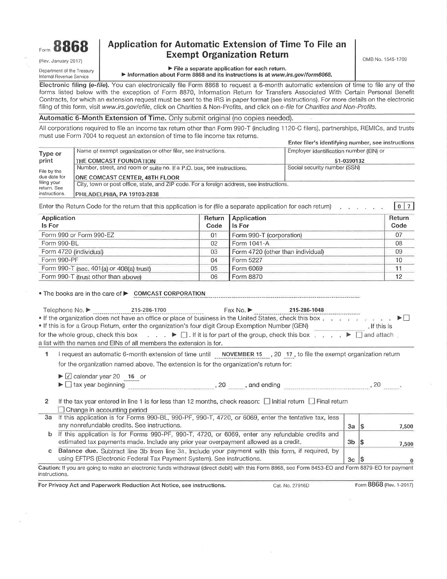

(Rev. January 201 7)

### Department of the Treasury lnternal Revenue Serv¡ce

## $\frac{1}{2}$ <sub>Form</sub> 8868 Application for Automatic Extension of Time To File an Exempt Organization Return

OMB No. 1545-1709

Þ File a separate application for each return, ▶ Information about Form 8868 and its instructions is at www.irs.gov/form8868.

Electronic filing (e-file). You can electronically file Form 8868 to request a 6-month automatic extension of time to file any of the forms listed below with the exception of Form 8870, lnformation Return for Transfers Associated With Certain Personal Benefit Contracts, for which an extension request must be sent to the IRS in paper format (see instructions). For more details on the electronic filing of this form, visit www.irs.gov/efile, click on Charities & Non-Profits, and click on e-file for Charities and Non-Profits.

## Automatic 6-Month Extension of Time. Only submit oriqinal (no copies needed).

All corporations required to file an income tax return other than Form 990-T (including 1120-C filers), partnerships, REMlOs, and trusts must use Form 7004 to request an extension of time to file income tax returns. Enter filer's identifying number, see instructions

|                            |                                                                                          | Enter filer's identifying number, see instructions |  |  |  |  |
|----------------------------|------------------------------------------------------------------------------------------|----------------------------------------------------|--|--|--|--|
| Type or                    | Name of exempt organization or other filer, see instructions.                            | Employer identification number (EIN) or            |  |  |  |  |
| print                      | THE COMCAST FOUNDATION                                                                   | 51-0390132                                         |  |  |  |  |
| File by the                | Number, street, and room or suite no. If a P.O. box, see instructions.                   | Social security number (SSN)                       |  |  |  |  |
| due date for               | <b>ONE COMCAST CENTER, 48TH FLOOR</b>                                                    |                                                    |  |  |  |  |
| filing your<br>return, See | City, town or post office, state, and ZIP code. For a foreign address, see instructions. |                                                    |  |  |  |  |
| instructions.              | PHILADELPHIA, PA 19103-2838                                                              |                                                    |  |  |  |  |

Enter the Return Code for the return that this application is for (file a separate application for each return)  $\lceil 0 \rceil$  7

| Application<br><b>Is For</b>             | Code | Return Application<br>Is For      | Return<br>Code |
|------------------------------------------|------|-----------------------------------|----------------|
|                                          |      |                                   |                |
| Form 990 or Form 990-EZ                  | 01   | Form 990-T (corporation)          | 07             |
| Form 990-BL                              | 02   | Form 1041-A                       | 08             |
| Form 4720 (individual)                   | 03   | Form 4720 (other than individual) | 09             |
| Form 990-PF                              | 04   | Form 5227                         | 10             |
| Form 990-T (sec. 401(a) or 408(a) trust) | 05   | Form 6069                         |                |
| Form 990-T (trust other than above)      | 06   | Form 8870                         |                |

• The books are in the care of  $\blacktriangleright$  COMCAST CORPORATION

| Telephone No. $\blacktriangleright$ | 215-286-1700                                                                                                                                                                                                                                                                                                    | $Fax No.$ $\blacktriangleright$ . | 215-286-1048 |             |
|-------------------------------------|-----------------------------------------------------------------------------------------------------------------------------------------------------------------------------------------------------------------------------------------------------------------------------------------------------------------|-----------------------------------|--------------|-------------|
|                                     | • If the organization does not have an office or place of business in the United States, check this box $\ldots$ and $\ldots$ and $\blacktriangleright\Box$                                                                                                                                                     |                                   |              |             |
|                                     | If this is for a Group Return, enter the organization's four digit Group Exemption Number (GEN)                                                                                                                                                                                                                 |                                   |              | ⊧lf this is |
|                                     | for the whole group, check this box $\qquad \qquad$ . $\qquad \qquad$ If it is for part of the group, check this box $\qquad \qquad$ $\qquad \qquad$ $\qquad \qquad$ $\qquad$ $\qquad$ $\qquad$ $\qquad$ $\qquad$ $\qquad$ $\qquad$ $\qquad$ $\qquad$ $\qquad$ $\qquad$ $\qquad$ $\qquad$ $\qquad$ $\qquad$ $\$ |                                   |              |             |
|                                     | a list with the names and EINs of all members the extension is for.                                                                                                                                                                                                                                             |                                   |              |             |

1 I request an automatic 6-month extension of time until **NOVEMBER 15** 20 17, to file the exempt organization return for the organization named above. The extension is for the organization's return for:

 $\blacktriangleright$   $\lvert$  calendar year 20 16 or

| $\blacktriangleright$ $\sqcup$ tax year beginning<br>_____ | 20 | and ending |  |  |  |  |
|------------------------------------------------------------|----|------------|--|--|--|--|
|------------------------------------------------------------|----|------------|--|--|--|--|

2 If the tax year entered in line 1 is for less than 12 months, check reason:  $\Box$  Initial return  $\Box$  Final return  $\Box$  Change in accounting period

| If this application is for Forms 990-BL, 990-PF, 990-T, 4720, or 6069, enter the tentative tax, less |                |                                                                                                                                                    |
|------------------------------------------------------------------------------------------------------|----------------|----------------------------------------------------------------------------------------------------------------------------------------------------|
| any nonrefundable credits. See instructions.                                                         | 3a             | 7,500                                                                                                                                              |
| If this application is for Forms 990-PF, 990-T, 4720, or 6069, enter any refundable credits and      |                |                                                                                                                                                    |
| estimated tax payments made. Include any prior year overpayment allowed as a credit.                 | 3b             | 7,500                                                                                                                                              |
| Balance due. Subtract line 3b from line 3a. Include your payment with this form, if required, by     |                |                                                                                                                                                    |
| using EFTPS (Electronic Federal Tax Payment System). See instructions.                               | 3 <sub>c</sub> |                                                                                                                                                    |
|                                                                                                      |                |                                                                                                                                                    |
|                                                                                                      |                | Caution: If you are going to make an electronic funds withdrawal (direct debit) with this Form 8868, see Form 8453-EO and Form 8879-EO for payment |

For Privacy Act and Paperwork Reduction Act Notice, see instructions. Cat. No. 27916D Form 8868 (Rev. 1-2017)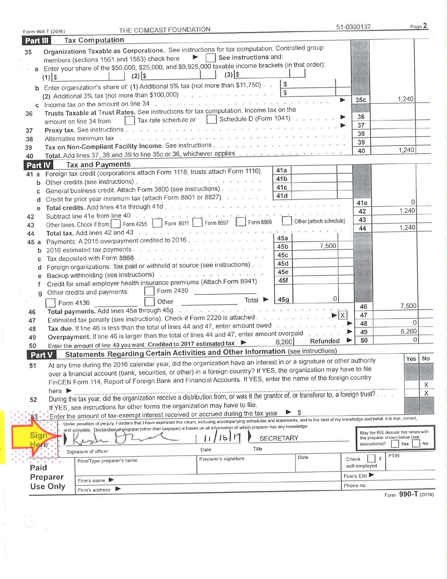| Part III    | Form 990-T (2016)          |                                             | THE COMCAST FOUNDATION                                                                                                                                                                                                                                                       |                                        | 51-0390132             | Page 2                                      |
|-------------|----------------------------|---------------------------------------------|------------------------------------------------------------------------------------------------------------------------------------------------------------------------------------------------------------------------------------------------------------------------------|----------------------------------------|------------------------|---------------------------------------------|
|             |                            | <b>Tax Computation</b>                      |                                                                                                                                                                                                                                                                              |                                        |                        |                                             |
| 35          |                            |                                             | Organizations Taxable as Corporations. See instructions for tax computation. Controlled group<br>See instructions and:<br>$\blacktriangleright$ .                                                                                                                            |                                        |                        |                                             |
|             |                            | members (sections 1561 and 1563) check here |                                                                                                                                                                                                                                                                              |                                        |                        |                                             |
|             |                            |                                             | a Enter your share of the \$50,000, \$25,000, and \$9,925,000 taxable income brackets (in that order):<br>$(3)$ \$                                                                                                                                                           |                                        |                        |                                             |
|             | $(1)$ \$                   | $(2)$ \$                                    |                                                                                                                                                                                                                                                                              |                                        |                        |                                             |
| b           |                            |                                             | Enter organization's share of: (1) Additional 5% tax (not more than \$11,750)                                                                                                                                                                                                | $\frac{1}{3}$                          |                        |                                             |
|             |                            |                                             | (2) Additional 3% tax (not more than \$100,000) $\left  \cdot \right _{\mathbb{R}^+ \times \mathbb{R}^+}$ and $\left  \cdot \right $                                                                                                                                         | $\sqrt{2}$                             |                        | 1,240                                       |
| c           |                            |                                             | Income tax on the amount on line 34 power and a series and a series of a series and a series and                                                                                                                                                                             |                                        | 35c<br>▶               |                                             |
| 36          |                            |                                             | Trusts Taxable at Trust Rates. See instructions for tax computation. Income tax on the                                                                                                                                                                                       |                                        |                        |                                             |
|             |                            | amount on line 34 from:                     | Tax rate schedule or $\ \_$                                                                                                                                                                                                                                                  | Schedule D (Form 1041) a contract to a | 36                     |                                             |
| 37          |                            |                                             | Proxy tax. See instructions we are a second to a series the significant contract and a real                                                                                                                                                                                  |                                        | 37                     |                                             |
| 38          |                            |                                             |                                                                                                                                                                                                                                                                              |                                        | 38                     |                                             |
| 39          |                            |                                             | Tax on Non-Compliant Facility Income. See instructions were working and a constraint was a series of the                                                                                                                                                                     |                                        | 39                     | 1,240                                       |
| 40          |                            |                                             |                                                                                                                                                                                                                                                                              |                                        | 40                     |                                             |
| Part IV     |                            | <b>Tax and Payments</b>                     |                                                                                                                                                                                                                                                                              |                                        |                        |                                             |
| 41 a        |                            |                                             | Foreign tax credit (corporations attach Form 1118; trusts attach Form 1116)                                                                                                                                                                                                  | 41a                                    |                        |                                             |
| b           |                            |                                             |                                                                                                                                                                                                                                                                              | 41 <sub>b</sub>                        |                        |                                             |
| c           |                            |                                             | General business credit. Attach Form 3800 (see instructions) and was a set                                                                                                                                                                                                   | 41c                                    |                        |                                             |
| d           |                            |                                             | Credit for prior year minimum tax (attach Form 8801 or 8827) and an analysis                                                                                                                                                                                                 | 41d                                    |                        |                                             |
|             |                            |                                             |                                                                                                                                                                                                                                                                              |                                        | 41e                    |                                             |
| 42          |                            |                                             |                                                                                                                                                                                                                                                                              |                                        | 42                     | 1,240                                       |
|             |                            |                                             | Form 8866<br>Other taxes. Check if from: Form 4255 Form 8611 Form 8697                                                                                                                                                                                                       | Other (attach schedule)                | 43                     |                                             |
| 43<br>44    |                            |                                             |                                                                                                                                                                                                                                                                              |                                        | 44                     | 1,240                                       |
|             |                            |                                             | Payments: A 2015 overpayment credited to 2016.                                                                                                                                                                                                                               | 45a                                    |                        |                                             |
| 45 a        |                            |                                             | 2016 estimated tax payments. The contract and a state of the contract of the                                                                                                                                                                                                 | 7,500<br>45 <sub>b</sub>               |                        |                                             |
| b           |                            |                                             |                                                                                                                                                                                                                                                                              | 45c                                    |                        |                                             |
| c           |                            |                                             | Foreign organizations: Tax paid or withheld at source (see instructions)                                                                                                                                                                                                     | 45d                                    |                        |                                             |
| d           |                            |                                             | Backup withholding (see instructions) and a contract and a contract of a                                                                                                                                                                                                     | 45e                                    |                        |                                             |
| е           |                            |                                             | Credit for small employer health insurance premiums (Attach Form 8941)                                                                                                                                                                                                       | 45f                                    |                        |                                             |
| f           |                            | Other credits and payments:                 | Form 2439                                                                                                                                                                                                                                                                    |                                        |                        |                                             |
|             | g                          |                                             | Total $\blacktriangleright$                                                                                                                                                                                                                                                  | 0 <br>45g                              |                        |                                             |
|             |                            | Form 4136                                   | Other<br>Total payments. Add lines 45a through 45g and a parameter and a series and state that the European State                                                                                                                                                            |                                        | 46                     | 7,500                                       |
| 46          |                            |                                             | Estimated tax penalty (see instructions). Check if Form 2220 is attached. $\frac{1}{2}$ and $\frac{1}{2}$ and $\frac{1}{2}$                                                                                                                                                  |                                        | 47                     |                                             |
| 47          |                            |                                             | Tax due. If line 46 is less than the total of lines 44 and 47, enter amount owed                                                                                                                                                                                             |                                        | 48                     | $\Omega$                                    |
| 48          |                            |                                             | Overpayment. If line 46 is larger than the total of lines 44 and 47, enter amount overpaid                                                                                                                                                                                   |                                        | 49                     | 6,260                                       |
| 49          |                            |                                             |                                                                                                                                                                                                                                                                              | <b>Refunded</b><br>6,260               | 50<br>▸                | $\Omega$                                    |
| 50          |                            |                                             | Enter the amount of line 49 you want: Credited to 2017 estimated tax                                                                                                                                                                                                         |                                        |                        |                                             |
|             | Part V                     |                                             | <b>Statements Regarding Certain Activities and Other Information (see instructions)</b>                                                                                                                                                                                      |                                        |                        | No<br>Yes                                   |
| 51          |                            |                                             | At any time during the 2016 calendar year, did the organization have an interest in or a signature or other authority                                                                                                                                                        |                                        |                        |                                             |
|             |                            |                                             | over a financial account (bank, securities, or other) in a foreign country? If YES, the organization may have to file                                                                                                                                                        |                                        |                        |                                             |
|             |                            |                                             | FinCEN Form 114, Report of Foreign Bank and Financial Accounts. If YES, enter the name of the foreign country                                                                                                                                                                |                                        |                        | Х                                           |
|             | here $\blacktriangleright$ |                                             |                                                                                                                                                                                                                                                                              |                                        |                        | Χ                                           |
|             |                            |                                             |                                                                                                                                                                                                                                                                              |                                        |                        |                                             |
| 52          |                            |                                             |                                                                                                                                                                                                                                                                              |                                        |                        |                                             |
|             |                            |                                             | During the tax year, did the organization receive a distribution from, or was it the grantor of, or transferor to, a foreign trust?                                                                                                                                          |                                        |                        |                                             |
|             |                            |                                             | If YES, see instructions for other forms the organization may have to file.                                                                                                                                                                                                  |                                        |                        |                                             |
| 53          |                            |                                             | Enter the amount of tax-exempt interest received or accrued during the tax year<br>Under penalties of perjury, I declare that I have examined this return, including accompanying schedules and statements, and to the best of my knowledge and belief, it is true, correct, |                                        |                        |                                             |
|             |                            |                                             | and complete. Declaration of greparer (other than taxpayer) is based on all information of which preparer has any knowledge.                                                                                                                                                 |                                        |                        |                                             |
| <b>Sign</b> |                            |                                             | 16 l r                                                                                                                                                                                                                                                                       | <b>SECRETARY</b>                       |                        | the preparer shown below (see               |
|             | ere <sup>.</sup>           |                                             | Title<br>Date                                                                                                                                                                                                                                                                |                                        | instructions)?         | May the IRS discuss this return with<br>Yes |
|             |                            | Signature of officer                        |                                                                                                                                                                                                                                                                              | Date                                   |                        | PTIN                                        |
|             |                            | Print/Type preparer's name                  | Preparer's signature                                                                                                                                                                                                                                                         |                                        | Check<br>self-employed |                                             |
| Paid        |                            |                                             |                                                                                                                                                                                                                                                                              |                                        |                        |                                             |
|             | Preparer                   | Firm's name                                 |                                                                                                                                                                                                                                                                              |                                        | Firm's $EIN$           |                                             |
|             | <b>Use Only</b>            | Firm's address                              |                                                                                                                                                                                                                                                                              |                                        | Phone no.              |                                             |
|             |                            |                                             |                                                                                                                                                                                                                                                                              |                                        |                        | Form 990-T (2016)                           |
|             |                            |                                             |                                                                                                                                                                                                                                                                              |                                        |                        |                                             |
|             |                            |                                             |                                                                                                                                                                                                                                                                              |                                        |                        |                                             |
|             |                            |                                             |                                                                                                                                                                                                                                                                              |                                        |                        |                                             |
|             |                            |                                             |                                                                                                                                                                                                                                                                              |                                        |                        |                                             |
|             |                            |                                             |                                                                                                                                                                                                                                                                              |                                        |                        |                                             |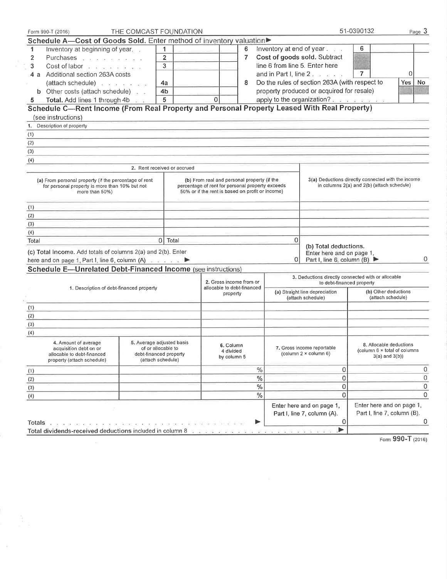| Form 990-T (2016)                                                                                                                      | THE COMCAST FOUNDATION                                                                         |                                                                                                                                                     |          |                                                                                                        | 51-0390132                                                                                       | Page 3            |
|----------------------------------------------------------------------------------------------------------------------------------------|------------------------------------------------------------------------------------------------|-----------------------------------------------------------------------------------------------------------------------------------------------------|----------|--------------------------------------------------------------------------------------------------------|--------------------------------------------------------------------------------------------------|-------------------|
| Schedule A-Cost of Goods Sold. Enter method of inventory valuation                                                                     |                                                                                                |                                                                                                                                                     |          |                                                                                                        |                                                                                                  |                   |
| Inventory at beginning of year.<br>1                                                                                                   | $\mathbf{1}$                                                                                   | 6                                                                                                                                                   |          | Inventory at end of year.                                                                              | 6                                                                                                |                   |
| $\overline{2}$<br>Purchases <b>Acceleration</b> Purchases                                                                              | $\overline{2}$                                                                                 | 7                                                                                                                                                   |          | Cost of goods sold. Subtract                                                                           |                                                                                                  |                   |
| 3<br>Cost of labor                                                                                                                     | 3                                                                                              |                                                                                                                                                     |          | line 6 from line 5. Enter here                                                                         |                                                                                                  |                   |
| 4 a Additional section 263A costs                                                                                                      |                                                                                                |                                                                                                                                                     |          | and in Part I. line $2 \cdot \cdot \cdot \cdot$ .                                                      | $\overline{7}$                                                                                   | 0                 |
| (attach schedule)                                                                                                                      | 4a                                                                                             | 8                                                                                                                                                   |          | Do the rules of section 263A (with respect to                                                          |                                                                                                  | Yes<br>No         |
| <b>b</b> Other costs (attach schedule)                                                                                                 | 4 <sub>b</sub>                                                                                 |                                                                                                                                                     |          | property produced or acquired for resale)                                                              |                                                                                                  |                   |
| Total. Add lines 1 through 4b<br>5.                                                                                                    | 5                                                                                              | $\mathbf 0$                                                                                                                                         |          | apply to the organization?.                                                                            |                                                                                                  |                   |
| Schedule C-Rent Income (From Real Property and Personal Property Leased With Real Property)                                            |                                                                                                |                                                                                                                                                     |          |                                                                                                        |                                                                                                  |                   |
| (see instructions)                                                                                                                     |                                                                                                |                                                                                                                                                     |          |                                                                                                        |                                                                                                  |                   |
| 1. Description of property                                                                                                             |                                                                                                |                                                                                                                                                     |          |                                                                                                        |                                                                                                  |                   |
| (1)                                                                                                                                    |                                                                                                |                                                                                                                                                     |          |                                                                                                        |                                                                                                  |                   |
| (2)                                                                                                                                    |                                                                                                |                                                                                                                                                     |          |                                                                                                        |                                                                                                  |                   |
| (3)                                                                                                                                    |                                                                                                |                                                                                                                                                     |          |                                                                                                        |                                                                                                  |                   |
| (4)                                                                                                                                    |                                                                                                |                                                                                                                                                     |          |                                                                                                        |                                                                                                  |                   |
|                                                                                                                                        | 2. Rent received or accrued                                                                    |                                                                                                                                                     |          |                                                                                                        |                                                                                                  |                   |
|                                                                                                                                        |                                                                                                |                                                                                                                                                     |          |                                                                                                        |                                                                                                  |                   |
| (a) From personal property (if the percentage of rent<br>for personal property is more than 10% but not<br>more than 50%)              |                                                                                                | (b) From real and personal property (if the<br>percentage of rent for personal property exceeds<br>50% or if the rent is based on profit or income) |          |                                                                                                        | 3(a) Deductions directly connected with the income<br>in columns 2(a) and 2(b) (attach schedule) |                   |
| (1)                                                                                                                                    |                                                                                                |                                                                                                                                                     |          |                                                                                                        |                                                                                                  |                   |
| (2)                                                                                                                                    |                                                                                                |                                                                                                                                                     |          |                                                                                                        |                                                                                                  |                   |
| (3)                                                                                                                                    |                                                                                                |                                                                                                                                                     |          |                                                                                                        |                                                                                                  |                   |
| (4)                                                                                                                                    |                                                                                                |                                                                                                                                                     |          |                                                                                                        |                                                                                                  |                   |
| Total                                                                                                                                  | $\mathbf{0}$<br>Total                                                                          |                                                                                                                                                     | $\Omega$ |                                                                                                        |                                                                                                  |                   |
| (c) Total income. Add totals of columns 2(a) and 2(b). Enter<br>here and on page 1, Part I, line 6, column $(A)$ $\blacktriangleright$ |                                                                                                |                                                                                                                                                     | $\Omega$ | (b) Total deductions.<br>Enter here and on page 1,<br>Part I, line 6, column (B) $\blacktriangleright$ |                                                                                                  |                   |
| Schedule E-Unrelated Debt-Financed Income (see instructions)                                                                           |                                                                                                |                                                                                                                                                     |          |                                                                                                        |                                                                                                  |                   |
| 1. Description of debt-financed property                                                                                               |                                                                                                | 2. Gross income from or<br>allocable to debt-financed                                                                                               |          | 3. Deductions directly connected with or allocable<br>to debt-financed property                        |                                                                                                  |                   |
|                                                                                                                                        |                                                                                                | property                                                                                                                                            |          | (a) Straight line depreciation<br>(attach schedule)                                                    | (b) Other deductions<br>(attach schedule)                                                        |                   |
| (1)                                                                                                                                    |                                                                                                |                                                                                                                                                     |          |                                                                                                        |                                                                                                  |                   |
| (2)                                                                                                                                    |                                                                                                |                                                                                                                                                     |          |                                                                                                        |                                                                                                  |                   |
| (3)                                                                                                                                    |                                                                                                |                                                                                                                                                     |          |                                                                                                        |                                                                                                  |                   |
| (4)                                                                                                                                    |                                                                                                |                                                                                                                                                     |          |                                                                                                        |                                                                                                  |                   |
| 4. Amount of average<br>acquisition debt on or<br>allocable to debt-financed<br>property (attach schedule)                             | 5. Average adjusted basis<br>of or allocable to<br>debt-financed property<br>(attach schedule) | 6. Column<br>4 divided<br>by column 5                                                                                                               |          | 7. Gross income reportable<br>(column 2 × column 6)                                                    | 8. Allocable deductions<br>(column 6 x total of columns<br>$3(a)$ and $3(b)$                     |                   |
| (1)                                                                                                                                    |                                                                                                | $\%$                                                                                                                                                |          | 0                                                                                                      |                                                                                                  |                   |
| (2)                                                                                                                                    |                                                                                                | $\%$                                                                                                                                                |          | $\mathbf 0$                                                                                            |                                                                                                  |                   |
| (3)                                                                                                                                    |                                                                                                | $\%$                                                                                                                                                |          | $\mathbf 0$                                                                                            |                                                                                                  |                   |
| (4)                                                                                                                                    |                                                                                                | $\%$                                                                                                                                                |          | $\overline{0}$                                                                                         |                                                                                                  |                   |
|                                                                                                                                        |                                                                                                |                                                                                                                                                     |          | Enter here and on page 1,<br>Part I, line 7, column (A).                                               | Enter here and on page 1,<br>Part I, line 7, column (B).                                         |                   |
| Totals                                                                                                                                 |                                                                                                | ▶                                                                                                                                                   |          | 0                                                                                                      |                                                                                                  |                   |
| Total dividends-received deductions included in column 8                                                                               |                                                                                                | .                                                                                                                                                   |          | ▸                                                                                                      |                                                                                                  |                   |
|                                                                                                                                        |                                                                                                |                                                                                                                                                     |          |                                                                                                        |                                                                                                  | Form 990-T (2016) |

 $\chi$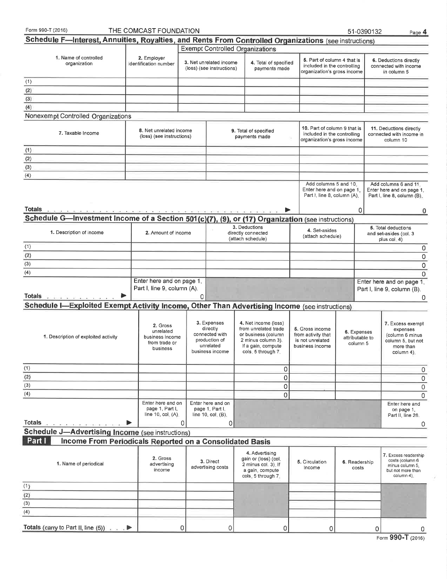| Form 990-T (2016)                                                                                     | THE COMCAST FOUNDATION                                                |   |                                                                                            |                                                                                                                                       |                                                                                            | 51-0390132                                 | Page 4                                                                                          |
|-------------------------------------------------------------------------------------------------------|-----------------------------------------------------------------------|---|--------------------------------------------------------------------------------------------|---------------------------------------------------------------------------------------------------------------------------------------|--------------------------------------------------------------------------------------------|--------------------------------------------|-------------------------------------------------------------------------------------------------|
| Schedule F-Interest, Annuities, Royalties, and Rents From Controlled Organizations (see instructions) |                                                                       |   |                                                                                            |                                                                                                                                       |                                                                                            |                                            |                                                                                                 |
|                                                                                                       |                                                                       |   |                                                                                            | <b>Exempt Controlled Organizations</b>                                                                                                |                                                                                            |                                            |                                                                                                 |
| 1. Name of controlled<br>organization                                                                 | 2. Employer<br>identification number                                  |   | 3. Net unrelated income<br>(loss) (see instructions)                                       | 4. Total of specified<br>payments made                                                                                                | 5. Part of column 4 that is<br>included in the controlling<br>organization's gross income  |                                            | 6. Deductions directly<br>connected with income<br>in column 5                                  |
| (1)                                                                                                   |                                                                       |   |                                                                                            |                                                                                                                                       |                                                                                            |                                            |                                                                                                 |
| (2)                                                                                                   |                                                                       |   |                                                                                            |                                                                                                                                       |                                                                                            |                                            |                                                                                                 |
| (3)                                                                                                   |                                                                       |   |                                                                                            |                                                                                                                                       |                                                                                            |                                            |                                                                                                 |
| (4)                                                                                                   |                                                                       |   |                                                                                            |                                                                                                                                       |                                                                                            |                                            |                                                                                                 |
| Nonexempt Controlled Organizations                                                                    |                                                                       |   |                                                                                            |                                                                                                                                       |                                                                                            |                                            |                                                                                                 |
|                                                                                                       |                                                                       |   |                                                                                            |                                                                                                                                       |                                                                                            |                                            |                                                                                                 |
| 7. Taxable Income                                                                                     | 8. Net unrelated income<br>(loss) (see instructions)                  |   |                                                                                            | 9. Total of specified<br>payments made                                                                                                | 10. Part of column 9 that is<br>included in the controlling<br>organization's gross income |                                            | 11. Deductions directly<br>connected with income in<br>column 10                                |
| (1)                                                                                                   |                                                                       |   |                                                                                            |                                                                                                                                       |                                                                                            |                                            |                                                                                                 |
| (2)                                                                                                   |                                                                       |   |                                                                                            |                                                                                                                                       |                                                                                            |                                            |                                                                                                 |
| (3)                                                                                                   |                                                                       |   |                                                                                            |                                                                                                                                       |                                                                                            |                                            |                                                                                                 |
| (4)                                                                                                   |                                                                       |   |                                                                                            |                                                                                                                                       |                                                                                            |                                            |                                                                                                 |
|                                                                                                       |                                                                       |   |                                                                                            |                                                                                                                                       | Add columns 5 and 10.<br>Enter here and on page 1,<br>Part I, line 8, column (A).          |                                            | Add columns 6 and 11.<br>Enter here and on page 1,<br>Part I, line 8, column (B).               |
| Totals.                                                                                               |                                                                       |   |                                                                                            |                                                                                                                                       |                                                                                            | 0                                          | 0                                                                                               |
| Schedule G-Investment Income of a Section 501(c)(7), (9), or (17) Organization (see instructions)     |                                                                       |   |                                                                                            |                                                                                                                                       |                                                                                            |                                            |                                                                                                 |
| 1. Description of income                                                                              | 2. Amount of income                                                   |   |                                                                                            | 3. Deductions<br>directly connected<br>(attach schedule)                                                                              | 4. Set-asides<br>(attach schedule)                                                         |                                            | 5. Total deductions<br>and set-asides (col. 3<br>plus col. 4)                                   |
| (1)                                                                                                   |                                                                       |   |                                                                                            |                                                                                                                                       |                                                                                            |                                            | 0                                                                                               |
| (2)                                                                                                   |                                                                       |   |                                                                                            |                                                                                                                                       |                                                                                            |                                            | 0                                                                                               |
|                                                                                                       |                                                                       |   |                                                                                            |                                                                                                                                       |                                                                                            |                                            | 0                                                                                               |
| (3)<br>(4)                                                                                            |                                                                       |   |                                                                                            |                                                                                                                                       |                                                                                            |                                            | 0                                                                                               |
| Totals<br>the dealer and a second company                                                             | Enter here and on page 1,<br>Part I, line 9, column (A).              | 0 |                                                                                            |                                                                                                                                       |                                                                                            |                                            | Enter here and on page 1,<br>Part I, line 9, column (B).<br>0                                   |
| Schedule I-Exploited Exempt Activity Income, Other Than Advertising Income (see instructions)         |                                                                       |   |                                                                                            |                                                                                                                                       |                                                                                            |                                            |                                                                                                 |
| 1. Description of exploited activity                                                                  | 2. Gross<br>unrelated<br>business income<br>from trade or<br>business |   | 3. Expenses<br>directly<br>connected with<br>production of<br>unrelated<br>business income | 4. Net income (loss)<br>from unrelated trade<br>or business (column<br>2 minus column 3).<br>If a gain, compute<br>cols: 5 through 7. | 5. Gross income<br>from activity that<br>is not unrelated<br>business income               | 6. Expenses<br>attributable to<br>column 5 | 7. Excess exempt<br>expenses<br>(column 6 minus<br>column 5, but not<br>more than<br>column 4). |
| (1)                                                                                                   |                                                                       |   |                                                                                            | 0                                                                                                                                     |                                                                                            |                                            | 0                                                                                               |
| (2)                                                                                                   |                                                                       |   |                                                                                            | $\mathbf 0$                                                                                                                           |                                                                                            |                                            | 0                                                                                               |
| (3)                                                                                                   |                                                                       |   |                                                                                            | $\mathbf 0$                                                                                                                           |                                                                                            |                                            | $\mathbf 0$                                                                                     |
|                                                                                                       |                                                                       |   |                                                                                            | $\mathbf 0$                                                                                                                           |                                                                                            |                                            | 0                                                                                               |
| (4)                                                                                                   | Enter here and on<br>page 1, Part I,<br>line 10, col. (A).            |   | Enter here and on<br>page 1, Part I,<br>line $10$ , $col_{n}$ (B).                         |                                                                                                                                       |                                                                                            |                                            | Enter here and<br>on page 1,<br>Part II, line 26.                                               |
| <b>Totals</b>                                                                                         |                                                                       | 0 | 0                                                                                          |                                                                                                                                       |                                                                                            |                                            | 0                                                                                               |
| <b>Schedule J-Advertising Income (see instructions)</b>                                               |                                                                       |   |                                                                                            |                                                                                                                                       |                                                                                            |                                            |                                                                                                 |
| Part I<br>Income From Periodicals Reported on a Consolidated Basis                                    |                                                                       |   |                                                                                            |                                                                                                                                       |                                                                                            |                                            |                                                                                                 |
| 1. Name of periodical                                                                                 | 2. Gross<br>advertising<br>income                                     |   | 3. Direct<br>advertising costs                                                             | 4. Advertising<br>gain or (loss) (col.<br>2 minus col. 3). If<br>a gain, compute<br>cols, 5 through 7.                                | 5. Circulation<br>income                                                                   | 6. Readership<br>costs                     | 7. Excess readership<br>costs (column 6<br>minus column 5.<br>but not more than<br>column 4).   |
| (1)                                                                                                   |                                                                       |   |                                                                                            |                                                                                                                                       |                                                                                            |                                            |                                                                                                 |
| (2)                                                                                                   |                                                                       |   |                                                                                            |                                                                                                                                       |                                                                                            |                                            |                                                                                                 |
|                                                                                                       |                                                                       |   |                                                                                            |                                                                                                                                       |                                                                                            |                                            |                                                                                                 |
|                                                                                                       |                                                                       |   |                                                                                            |                                                                                                                                       |                                                                                            |                                            |                                                                                                 |
| (4)                                                                                                   |                                                                       |   |                                                                                            |                                                                                                                                       |                                                                                            |                                            |                                                                                                 |
| Totals (carry to Part II, line (5)) $\ldots$                                                          |                                                                       | 0 | 0                                                                                          | 0                                                                                                                                     | 0                                                                                          | 0                                          | Ω<br>888                                                                                        |

| Form 990-T (2016) |  |
|-------------------|--|
|-------------------|--|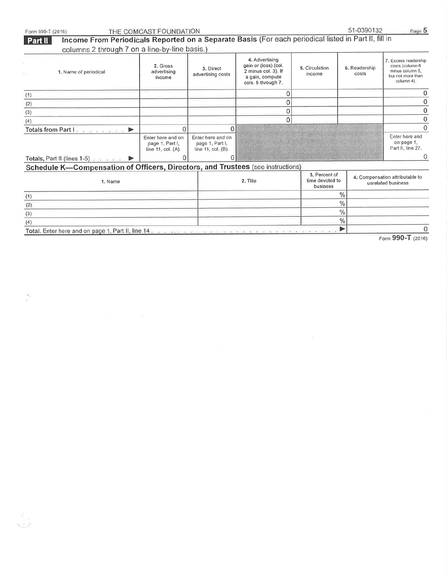| Form 990-T (2016)                                                                                                                                                       | THE COMCAST FOUNDATION                                     |                                                                    |                                                                                                        |                          | 51-0390132             | Page 5                                                                                       |
|-------------------------------------------------------------------------------------------------------------------------------------------------------------------------|------------------------------------------------------------|--------------------------------------------------------------------|--------------------------------------------------------------------------------------------------------|--------------------------|------------------------|----------------------------------------------------------------------------------------------|
| Income From Periodicals Reported on a Separate Basis (For each periodical listed in Part II, fill in<br><b>Part II</b><br>columns 2 through 7 on a line-by-line basis.) |                                                            |                                                                    |                                                                                                        |                          |                        |                                                                                              |
| 1. Name of periodical                                                                                                                                                   | 2. Gross<br>advertising<br>income                          | 3. Direct<br>advertising costs                                     | 4. Advertising<br>gain or (loss) (col.<br>2 minus col. 3). If<br>a gain, compute<br>cols. 5 through 7. | 5. Circulation<br>income | 6. Readership<br>costs | 7. Excess readership<br>costs (column 6<br>minus column 5.<br>but not more than<br>column 4) |
| (1)                                                                                                                                                                     |                                                            |                                                                    | 0                                                                                                      |                          |                        |                                                                                              |
| (2)                                                                                                                                                                     |                                                            |                                                                    | 0                                                                                                      |                          |                        |                                                                                              |
| (3)                                                                                                                                                                     |                                                            |                                                                    | 0                                                                                                      |                          |                        |                                                                                              |
| (4)                                                                                                                                                                     |                                                            |                                                                    | 0                                                                                                      |                          |                        |                                                                                              |
| Totals from Part I and a series and<br>$\blacktriangleright$                                                                                                            | 0                                                          | 0                                                                  |                                                                                                        |                          |                        |                                                                                              |
|                                                                                                                                                                         | Enter here and on<br>page 1, Part I,<br>line 11, col. (A). | Enter here and on<br>page 1, Part I,<br>line 11, $col_{n}$ $(B)$ . |                                                                                                        |                          |                        | Enter here and<br>on page 1.<br>Part II, line 27.                                            |
| Totals, Part II (lines 1-5) $\ldots$                                                                                                                                    | 0                                                          |                                                                    |                                                                                                        |                          |                        |                                                                                              |
| Schedule K-Compensation of Officers, Directors, and Trustees (see instructions)                                                                                         |                                                            |                                                                    |                                                                                                        |                          |                        |                                                                                              |
| 1. Name                                                                                                                                                                 |                                                            |                                                                    | $2.$ Title                                                                                             |                          |                        | 4. Compensation attributable to<br>unrelated business                                        |
| (1)                                                                                                                                                                     |                                                            |                                                                    |                                                                                                        | $\frac{0}{0}$            |                        |                                                                                              |
| (2)                                                                                                                                                                     |                                                            |                                                                    |                                                                                                        | $\frac{0}{6}$            |                        |                                                                                              |
| (3)                                                                                                                                                                     |                                                            |                                                                    |                                                                                                        | $\%$                     |                        |                                                                                              |
| (4)                                                                                                                                                                     |                                                            |                                                                    |                                                                                                        | %                        |                        |                                                                                              |
| Total. Enter here and on page 1, Part II, line 14 and a constant in the state of the state of the state of the                                                          |                                                            |                                                                    |                                                                                                        | ▶                        |                        |                                                                                              |

Form 990-T (2016)

 $\hat{\mathcal{C}}$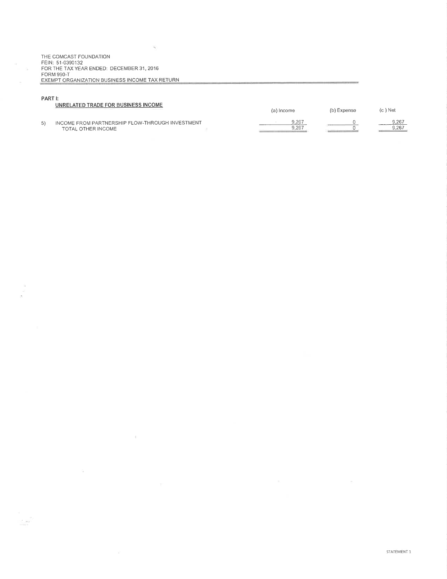THE COMCAST FOUNDATION<br>FEIN: 51-0390132 FOR THE TAX YEAR ENDED: DECEMBER 31, 2016 FORM 990-T EXEMPT ORGANIZATION BUSINESS INCOME TAX RETURN

 $\bar{\gamma}$ 

 $\pm$ 

 $\alpha$ 

### PART I:

 $\frac{1}{2}$ 

|    | UNRELATED TRADE FOR BUSINESS INCOME             | (a) Income | (b) Expense | $(c)$ Net |
|----|-------------------------------------------------|------------|-------------|-----------|
| 5) | INCOME FROM PARTNERSHIP FLOW-THROUGH INVESTMENT | 9.267      |             | 9.267     |
|    | TOTAL OTHER INCOME                              | 9.267      |             | 9.267     |
|    |                                                 |            |             |           |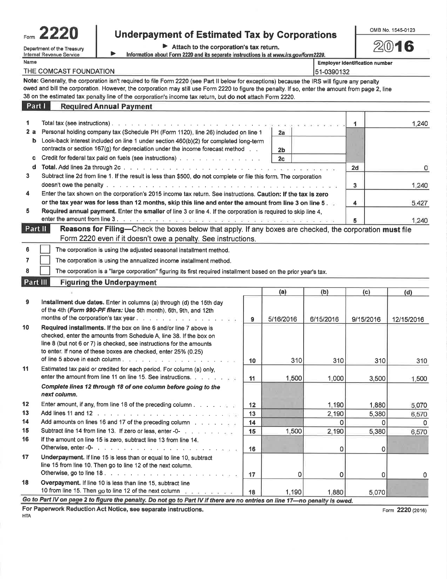| orm |  |
|-----|--|

# Form  $2220$  Underpayment of Estimated Tax by Corporations Department of the Treasury **Department of the Treasury**

1,240

 $1,240$ 

5,427

0

| Department of the Treasury | Attach to the corporation's tax return.                                               |
|----------------------------|---------------------------------------------------------------------------------------|
| Internal Revenue Service   | Information about Form 2220 and its separate instructions is at www.irs.gov/form2220. |

| Name                                 |                                                                                                                                                                                                                                                                                                                                                                                                               |                |  | <b>Employer identification number</b> |  |  |
|--------------------------------------|---------------------------------------------------------------------------------------------------------------------------------------------------------------------------------------------------------------------------------------------------------------------------------------------------------------------------------------------------------------------------------------------------------------|----------------|--|---------------------------------------|--|--|
| THE COMCAST FOUNDATION<br>51-0390132 |                                                                                                                                                                                                                                                                                                                                                                                                               |                |  |                                       |  |  |
|                                      | Note: Generally, the corporation isn't required to file Form 2220 (see Part II below for exceptions) because the IRS will figure any penalty<br>owed and bill the corporation. However, the corporation may still use Form 2220 to figure the penalty. If so, enter the amount from page 2, line<br>38 on the estimated tax penalty line of the corporation's income tax return, but do not attach Form 2220. |                |  |                                       |  |  |
| Part I                               | <b>Required Annual Payment</b>                                                                                                                                                                                                                                                                                                                                                                                |                |  |                                       |  |  |
|                                      |                                                                                                                                                                                                                                                                                                                                                                                                               |                |  | 1.                                    |  |  |
| 2a                                   | Personal holding company tax (Schedule PH (Form 1120), line 26) included on line 1                                                                                                                                                                                                                                                                                                                            | $_{2a}$        |  |                                       |  |  |
| b.                                   | Look-back interest included on line 1 under section 460(b)(2) for completed long-term<br>contracts or section $167(g)$ for depreciation under the income forecast method $\ldots$                                                                                                                                                                                                                             | 2 <sub>b</sub> |  |                                       |  |  |
| C.                                   | Credit for federal tax paid on fuels (see instructions)                                                                                                                                                                                                                                                                                                                                                       | 2c             |  |                                       |  |  |
| d                                    |                                                                                                                                                                                                                                                                                                                                                                                                               |                |  | 2d                                    |  |  |
| 3                                    | Subtract line 2d from line 1. If the result is less than \$500, do not complete or file this form. The corporation                                                                                                                                                                                                                                                                                            |                |  | 3                                     |  |  |
| 4                                    | Enter the tax shown on the corporation's 2015 income tax return. See instructions. Caution: If the tax is zero                                                                                                                                                                                                                                                                                                |                |  |                                       |  |  |
|                                      | or the tax year was for less than 12 months, skip this line and enter the amount from line 3 on line 5.                                                                                                                                                                                                                                                                                                       |                |  | 4                                     |  |  |
| 5                                    | Required annual payment. Enter the smaller of line 3 or line 4. If the corporation is required to skip line 4,                                                                                                                                                                                                                                                                                                |                |  | 5                                     |  |  |

|         |                                                                                                          | 1.240 |
|---------|----------------------------------------------------------------------------------------------------------|-------|
| Part II | Reasons for Filing—Check the boxes below that apply. If any boxes are checked, the corporation must file |       |
|         | Form 2220 even if it doesn't owe a penalty. See instructions.                                            |       |
|         |                                                                                                          |       |

6 The corporation is using the adjusted seasonal installment method.

7 The corporation is using the annualized income installment method.

The corporation is a "large corporation" figuring its first required installment based on the prior year's tax.

## Part III Figuring the Underpayment

I

|    |                                                                                                                                                                                                                                                                                    |    | (a)       | (b)       | (c)       | (d)        |  |
|----|------------------------------------------------------------------------------------------------------------------------------------------------------------------------------------------------------------------------------------------------------------------------------------|----|-----------|-----------|-----------|------------|--|
| 9  | Installment due dates. Enter in columns (a) through (d) the 15th day<br>of the 4th (Form 990-PF filers: Use 5th month), 6th, 9th, and 12th                                                                                                                                         | 9  | 5/16/2016 | 6/15/2016 | 9/15/2016 | 12/15/2016 |  |
| 10 | Required installments. If the box on line 6 and/or line 7 above is<br>checked, enter the amounts from Schedule A, line 38. If the box on<br>line 8 (but not 6 or 7) is checked, see instructions for the amounts<br>to enter. If none of these boxes are checked, enter 25% (0.25) |    |           |           |           |            |  |
|    |                                                                                                                                                                                                                                                                                    | 10 | 310       | 310       | 310       | 310        |  |
| 11 | Estimated tax paid or credited for each period. For column (a) only,<br>enter the amount from line 11 on line 15. See instructions.                                                                                                                                                | 11 | 1,500     | 1,000     | 3,500     | 1,500      |  |
|    | Complete lines 12 through 18 of one column before going to the<br>next column.                                                                                                                                                                                                     |    |           |           |           |            |  |
| 12 | Enter amount, if any, from line 18 of the preceding column                                                                                                                                                                                                                         | 12 |           | 1,190     | 1,880     | 5,070      |  |
| 13 |                                                                                                                                                                                                                                                                                    | 13 |           | 2,190     | 5,380     | 6,570      |  |
| 14 | Add amounts on lines 16 and 17 of the preceding column                                                                                                                                                                                                                             | 14 |           | O         | $\Omega$  |            |  |
| 15 | Subtract line 14 from line 13. If zero or less, enter -0- with a state of the state                                                                                                                                                                                                | 15 | 1.500     | 2,190     | 5,380     | 6,570      |  |
| 16 | If the amount on line 15 is zero, subtract line 13 from line 14.                                                                                                                                                                                                                   | 16 |           | 0         | 0         |            |  |
| 17 | Underpayment. If line 15 is less than or equal to line 10, subtract<br>line 15 from line 10. Then go to line 12 of the next column.                                                                                                                                                | 17 |           | Ω         | 0         | 0          |  |
| 18 | Overpayment. If line 10 is less than line 15, subtract line                                                                                                                                                                                                                        |    |           |           |           |            |  |
|    | 10 from line 15. Then go to line 12 of the next column and successive season.                                                                                                                                                                                                      | 18 | 1.190     | 1.880     | 5,070     |            |  |
|    | Go to Part IV on page 2 to figure the penalty. Do not go to Part IV if there are no entries on line 17-no penalty is owed.                                                                                                                                                         |    |           |           |           |            |  |

For Paperwork Reduction Act Notice, see separate instructions. HTA

Form 2220 (2016)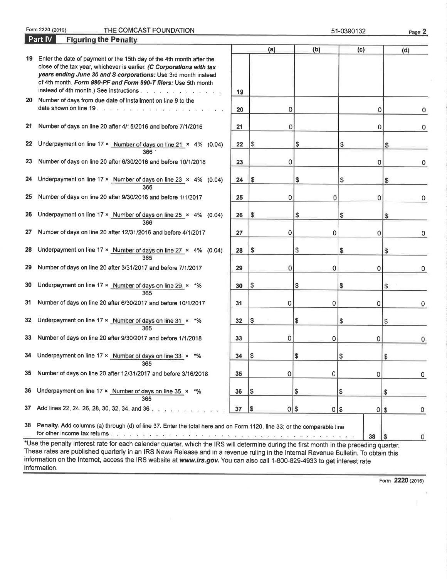Form 2220 (2016)

COMCAST FOUNDATION 51-0390132

Part IV Figuring the Penalty (a) (b) (c)  $(d)$ l9 Enter the date of payment or the 1Sth day of the 4th month after the close of the tax year, whichever is earlier. (C Corporations with tax years ending June 30 and S corporations: Use 3rd month instead of 4th month. Form 990-PF and Form 990-T filers: Use 5th month instead of 4th month.) See instructions . . . . . . . . . . . . . . . . 19 20 Number of days from due date of installment on line 9 to the date shown on line 19. . . . . . . . . . . . . . . . . 0 20 0 0 0 21 Number of days on line 20 after 4/15/2016 and before 7/1/2016 0  $21$  0 0 0 0 22 Underpayment on line  $17 \times$  Number of days on line  $21 \times 4\%$  (0.04) \$  $22 \quad \sqrt{3} \quad \sqrt{5} \quad \sqrt{5}$ 366 23 Number of days on line 20 after 6/30/2016 and before 10/1/2016 0 23 0 0 0 24 Underpayment on line  $17 \times$  Number of days on line  $23 \times 4\%$  (0.04) \$  $24 \quad |3 \quad |3 \quad |3$ 366 25 Number of days on line 20 after 9/30/2016 and before <sup>11112017</sup> 0 25 0 0 0 0 26 Underpayment on line  $17 \times$  Number of days on line  $25 \times 4\%$  (0.04) \$  $26 \t{5} \t{3} \t{3}$ 366 27 Number of days on line 20 after 12/31/2016 and before 4/1/2017 0 27 0 0 0 0 28 Underpayment on line 17  $\times$  Number of days on line 27  $\times$  4% (0.04) \$  $28 \tImes \tImes$  \$ \

29 Number of days on line 20 after 313112017 and before <sup>71112017</sup>

30 Underpayment on line 17  $\times$  Number of days on line 29  $\times$  \*%

31 Number of days on line 20 after 613012017 and before <sup>101112017</sup>

365

35 Number of days on line 20 after 12/31/2017 and before 3/16/2018

36 Underpayment on line 17  $\times$  Number of days on line 35  $\times$  \*% 365

37 Add lines 22, 24, 26, 28, 30, 32, 34, and 36,

29 0 0 0 365

 $30 \t\t 3$  \$  $\t 3$ 

365

32 Underpayment on line 17  $\times$  Number of days on line 31  $\times$  \*% 33 Number of days on line 20 after 9/30/2017 and before 1/1/2018

34 Underpayment on line  $17 \times$  Number of days on line 33  $\times$  \*% 365

38 Penalty. Add columns (a) through (d) of line 37. Enter the total here and on Form 1120, line 33; or the comparable line for other income tax returns .

\*Use the penalty interest rate for each calendar quarter, which the IRS will determine during the first month in the preceding quarter These rates are published quarterly in an IRS News Release and in a revenue ruling in the Internal Revenue Bulletin. To obtain this information on the Internet, access the IRS website at www.irs.gov. You can also call 1-800-829-4933 to get interest rate information.

Form 2220 (2016)

38

31 0 0 0 0

33 0 0 0 0

35 0 0 0 0

37 \$ 0 \$ 0 \$ 0

 $32 \quad | \, 3 \qquad | \, 3 \qquad | \, 3 \qquad | \, 3 \qquad | \, 3 \qquad | \, 3 \qquad | \, 3 \qquad | \, 3 \qquad | \, 3 \qquad | \, 3 \qquad | \, 3 \qquad | \, 3 \qquad | \, 3 \qquad | \, 3 \qquad | \, 3 \qquad | \, 3 \qquad | \, 3 \qquad | \, 3 \qquad | \, 3 \qquad | \, 3 \qquad | \, 3 \qquad | \, 3 \qquad | \, 3 \qquad | \, 3 \qquad | \, 3 \qquad | \, 3 \qquad | \, 3 \qquad$ 

34 \$ \$ \$

36 \$ s \$

Page 2

0

0

\$

\$

\$

\$

0

 $\mathbf{0}$ 

0

0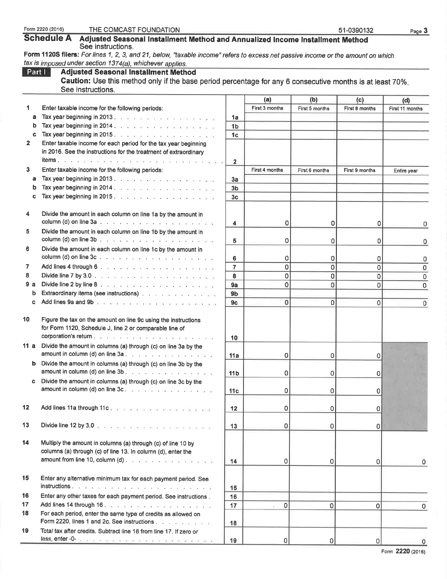|        | Schedule A Adjusted Seasonal Installment Method and Annualized Income Installment Method                                         |                 |                       |                       |                | rayo v          |
|--------|----------------------------------------------------------------------------------------------------------------------------------|-----------------|-----------------------|-----------------------|----------------|-----------------|
|        | See instructions.                                                                                                                |                 |                       |                       |                |                 |
|        | Form 1120S filers: For lines 1, 2, 3, and 21, below, "taxable income" refers to excess net passive income or the amount on which |                 |                       |                       |                |                 |
|        | tax is imposed under section 1374(a), whichever applies.                                                                         |                 |                       |                       |                |                 |
| Part I | <b>Adjusted Seasonal Installment Method</b>                                                                                      |                 |                       |                       |                |                 |
|        | Caution: Use this method only if the base period percentage for any 6 consecutive months is at least 70%.<br>See instructions.   |                 |                       |                       |                |                 |
|        |                                                                                                                                  |                 |                       |                       |                |                 |
| 1      |                                                                                                                                  |                 | (a)<br>First 3 months | (b)<br>First 5 months | (c)            | (d)             |
|        | Enter taxable income for the following periods:                                                                                  |                 |                       |                       | First 8 months | First 11 months |
| a      | Tax year beginning in 2013.                                                                                                      | 1a              |                       |                       |                |                 |
| b      | Tax year beginning in 2014.                                                                                                      | 1 <sub>b</sub>  |                       |                       |                |                 |
| c      | Tax year beginning in 2015.                                                                                                      | 1 <sub>c</sub>  |                       |                       |                |                 |
| 2      | Enter taxable income for each period for the tax year beginning                                                                  |                 |                       |                       |                |                 |
|        | in 2016. See the instructions for the treatment of extraordinary                                                                 |                 |                       |                       |                |                 |
|        |                                                                                                                                  | $\overline{2}$  |                       |                       |                |                 |
| 3      | Enter taxable income for the following periods:                                                                                  |                 | First 4 months        | First 6 months        | First 9 months | Entire year     |
| а      |                                                                                                                                  | 3a              |                       |                       |                |                 |
| b      | Tax year beginning in 2014.                                                                                                      | 3 <sub>b</sub>  |                       |                       |                |                 |
| c      | Tax year beginning in 2015.                                                                                                      | 3 <sub>c</sub>  |                       |                       |                |                 |
|        |                                                                                                                                  |                 |                       |                       |                |                 |
| 4      | Divide the amount in each column on line 1a by the amount in                                                                     |                 |                       |                       |                |                 |
|        |                                                                                                                                  | 4               | 0                     | 0                     | 0              | 0               |
| 5      | Divide the amount in each column on line 1b by the amount in                                                                     |                 |                       |                       |                |                 |
|        |                                                                                                                                  | 5               | 0                     | 0                     | 0              | 0               |
| 6      | Divide the amount in each column on line 1c by the amount in                                                                     |                 |                       |                       |                |                 |
|        |                                                                                                                                  | 6               | 0                     | 0                     | 0              | 0               |
| 7      |                                                                                                                                  | $\overline{7}$  | $\overline{0}$        | $\mathbf 0$           | 0              | 0               |
| 8      |                                                                                                                                  | 8               | 0                     | 0                     | 0              | 0               |
| 9а     |                                                                                                                                  | 9a              | $\mathbf 0$           | $\Omega$              | 0              | 0               |
| b      | Extraordinary items (see instructions) with a subset of the set of the set                                                       | 9 <sub>b</sub>  |                       |                       |                |                 |
| C.     |                                                                                                                                  | 9c              | $\overline{0}$        | $\Omega$              | $\overline{0}$ | 0               |
| 10     | Figure the tax on the amount on line 9c using the instructions<br>for Form 1120, Schedule J, line 2 or comparable line of        |                 |                       |                       |                |                 |
|        |                                                                                                                                  |                 |                       |                       |                |                 |
|        | 11 a Divide the amount in columns (a) through (c) on line 3a by the                                                              | 10              |                       |                       |                |                 |
|        | amount in column (d) on line 3a                                                                                                  | 11a             | 0                     | 0                     | 0              |                 |
|        | <b>b</b> Divide the amount in columns (a) through (c) on line 3b by the                                                          |                 |                       |                       |                |                 |
|        | amount in column (d) on line $3b$ . $\ldots$ $\ldots$ $\ldots$ $\ldots$ $\ldots$ $\ldots$                                        | 11 <sub>b</sub> | 0                     | $\Omega$              | 0              |                 |
|        | c Divide the amount in columns (a) through (c) on line 3c by the                                                                 |                 |                       |                       |                |                 |
|        | amount in column (d) on line $3c_1 + c_2 + c_3 + c_4 + c_5$                                                                      | 11c             | 0                     | 0                     | 0              |                 |
|        |                                                                                                                                  |                 |                       |                       |                |                 |
| 12     | Add lines 11a through 11cm can be a content of a content of a species                                                            | 12              | 0                     | 0                     | 0              |                 |
|        |                                                                                                                                  |                 |                       |                       |                |                 |
| 13     | Divide line 12 by 3.0 and a company of the material state and                                                                    | 13              | 0                     | 0                     | 0              |                 |
| 14     | Multiply the amount in columns (a) through (c) of line 10 by<br>columns (a) through (c) of line 13. In column (d), enter the     |                 |                       |                       |                |                 |
|        | amount from line 10, column (d)                                                                                                  | 14              | 0                     | 0                     | 0              | 0               |
| 15     | Enter any alternative minimum tax for each payment period. See                                                                   |                 |                       |                       |                |                 |
|        |                                                                                                                                  | 15              |                       |                       |                |                 |
| 16     | Enter any other taxes for each payment period. See instructions                                                                  |                 |                       |                       |                |                 |
| 17     | Add lines 14 through 16.                                                                                                         | 16              | 0                     | 0                     |                |                 |
| 18     | For each period, enter the same type of credits as allowed on                                                                    | 17              |                       |                       | $\Omega$       | 0               |
|        | Form 2220, lines 1 and 2c. See instructions                                                                                      | 18              |                       |                       |                |                 |
| 19     | Total tax after credits. Subtract line 18 from line 17. If zero or                                                               |                 |                       |                       |                |                 |
|        | <b>less, enter -0-</b> a no as or reconstruction of the construction of a band of                                                | 19              | 0                     | 0                     | 0              |                 |

Form 2220 (2016)

## Form 2220 (2016) THE COMCAST FOUNDATION 51-0390132 Page 3